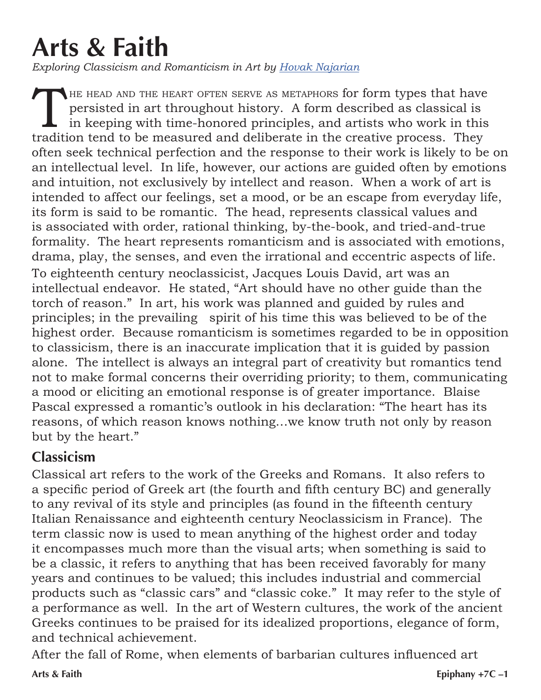## **Arts & Faith**

*Exploring Classicism and Romanticism in Art by Hovak Najarian*

THE HEAD AND THE HEART OFTEN SERVE AS METAPHORS for form types that have persisted in art throughout history. A form described as classical is in keeping with time-honored principles, and artists who work in this tradition persisted in art throughout history. A form described as classical is in keeping with time-honored principles, and artists who work in this tradition tend to be measured and deliberate in the creative process. They often seek technical perfection and the response to their work is likely to be on an intellectual level. In life, however, our actions are guided often by emotions and intuition, not exclusively by intellect and reason. When a work of art is intended to affect our feelings, set a mood, or be an escape from everyday life, its form is said to be romantic. The head, represents classical values and is associated with order, rational thinking, by-the-book, and tried-and-true formality. The heart represents romanticism and is associated with emotions, drama, play, the senses, and even the irrational and eccentric aspects of life. To eighteenth century neoclassicist, Jacques Louis David, art was an intellectual endeavor. He stated, "Art should have no other guide than the torch of reason." In art, his work was planned and guided by rules and principles; in the prevailing spirit of his time this was believed to be of the highest order. Because romanticism is sometimes regarded to be in opposition to classicism, there is an inaccurate implication that it is guided by passion alone. The intellect is always an integral part of creativity but romantics tend not to make formal concerns their overriding priority; to them, communicating a mood or eliciting an emotional response is of greater importance. Blaise Pascal expressed a romantic's outlook in his declaration: "The heart has its reasons, of which reason knows nothing…we know truth not only by reason but by the heart."

## **Classicism**

Classical art refers to the work of the Greeks and Romans. It also refers to a specific period of Greek art (the fourth and fifth century BC) and generally to any revival of its style and principles (as found in the fifteenth century Italian Renaissance and eighteenth century Neoclassicism in France). The term classic now is used to mean anything of the highest order and today it encompasses much more than the visual arts; when something is said to be a classic, it refers to anything that has been received favorably for many years and continues to be valued; this includes industrial and commercial products such as "classic cars" and "classic coke." It may refer to the style of a performance as well. In the art of Western cultures, the work of the ancient Greeks continues to be praised for its idealized proportions, elegance of form, and technical achievement.

After the fall of Rome, when elements of barbarian cultures influenced art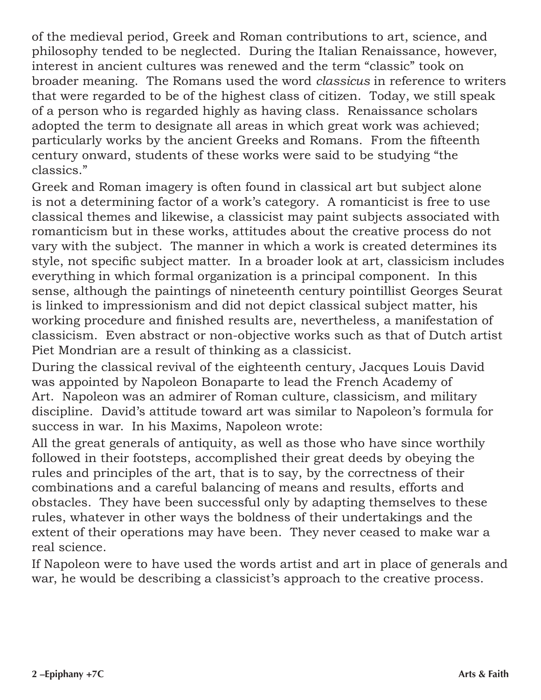of the medieval period, Greek and Roman contributions to art, science, and philosophy tended to be neglected. During the Italian Renaissance, however, interest in ancient cultures was renewed and the term "classic" took on broader meaning. The Romans used the word *classicus* in reference to writers that were regarded to be of the highest class of citizen. Today, we still speak of a person who is regarded highly as having class. Renaissance scholars adopted the term to designate all areas in which great work was achieved; particularly works by the ancient Greeks and Romans. From the fifteenth century onward, students of these works were said to be studying "the classics."

Greek and Roman imagery is often found in classical art but subject alone is not a determining factor of a work's category. A romanticist is free to use classical themes and likewise, a classicist may paint subjects associated with romanticism but in these works, attitudes about the creative process do not vary with the subject. The manner in which a work is created determines its style, not specific subject matter. In a broader look at art, classicism includes everything in which formal organization is a principal component. In this sense, although the paintings of nineteenth century pointillist Georges Seurat is linked to impressionism and did not depict classical subject matter, his working procedure and finished results are, nevertheless, a manifestation of classicism. Even abstract or non-objective works such as that of Dutch artist Piet Mondrian are a result of thinking as a classicist.

During the classical revival of the eighteenth century, Jacques Louis David was appointed by Napoleon Bonaparte to lead the French Academy of Art. Napoleon was an admirer of Roman culture, classicism, and military discipline. David's attitude toward art was similar to Napoleon's formula for success in war. In his Maxims, Napoleon wrote:

All the great generals of antiquity, as well as those who have since worthily followed in their footsteps, accomplished their great deeds by obeying the rules and principles of the art, that is to say, by the correctness of their combinations and a careful balancing of means and results, efforts and obstacles. They have been successful only by adapting themselves to these rules, whatever in other ways the boldness of their undertakings and the extent of their operations may have been. They never ceased to make war a real science.

If Napoleon were to have used the words artist and art in place of generals and war, he would be describing a classicist's approach to the creative process.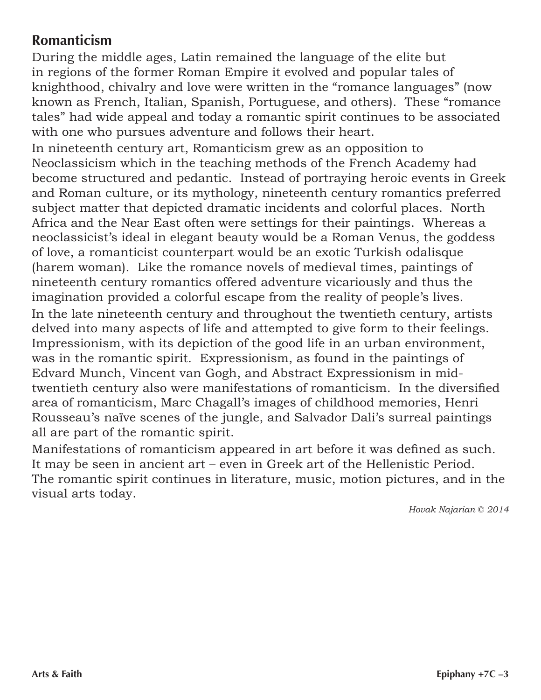## **Romanticism**

During the middle ages, Latin remained the language of the elite but in regions of the former Roman Empire it evolved and popular tales of knighthood, chivalry and love were written in the "romance languages" (now known as French, Italian, Spanish, Portuguese, and others). These "romance tales" had wide appeal and today a romantic spirit continues to be associated with one who pursues adventure and follows their heart.

In nineteenth century art, Romanticism grew as an opposition to Neoclassicism which in the teaching methods of the French Academy had become structured and pedantic. Instead of portraying heroic events in Greek and Roman culture, or its mythology, nineteenth century romantics preferred subject matter that depicted dramatic incidents and colorful places. North Africa and the Near East often were settings for their paintings. Whereas a neoclassicist's ideal in elegant beauty would be a Roman Venus, the goddess of love, a romanticist counterpart would be an exotic Turkish odalisque (harem woman). Like the romance novels of medieval times, paintings of nineteenth century romantics offered adventure vicariously and thus the imagination provided a colorful escape from the reality of people's lives. In the late nineteenth century and throughout the twentieth century, artists delved into many aspects of life and attempted to give form to their feelings. Impressionism, with its depiction of the good life in an urban environment, was in the romantic spirit. Expressionism, as found in the paintings of Edvard Munch, Vincent van Gogh, and Abstract Expressionism in midtwentieth century also were manifestations of romanticism. In the diversified area of romanticism, Marc Chagall's images of childhood memories, Henri Rousseau's naïve scenes of the jungle, and Salvador Dali's surreal paintings all are part of the romantic spirit.

Manifestations of romanticism appeared in art before it was defined as such. It may be seen in ancient art – even in Greek art of the Hellenistic Period. The romantic spirit continues in literature, music, motion pictures, and in the visual arts today.

*Hovak Najarian © 2014*